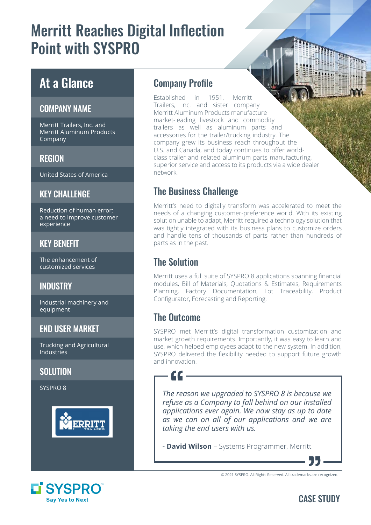# Merritt Reaches Digital Inflection Point with SYSPRO

# At a Glance

#### COMPANY NAME

Merritt Trailers, Inc. and Merritt Aluminum Products Company

#### REGION

United States of America

#### **KEY CHALLENGE**

Reduction of human error; a need to improve customer experience

#### KEY BENEFIT

The enhancement of customized services

## **INDUSTRY**

Industrial machinery and equipment

#### END USER MARKET

Trucking and Agricultural Industries

#### **SOLUTION**

SYSPRO 8



### Company Profile

Established in 1951, Merritt Trailers, Inc. and sister company Merritt Aluminum Products manufacture market-leading livestock and commodity trailers as well as aluminum parts and accessories for the trailer/trucking industry. The company grew its business reach throughout the U.S. and Canada, and today continues to offer worldclass trailer and related aluminum parts manufacturing, superior service and access to its products via a wide dealer network.

# The Business Challenge

Merritt's need to digitally transform was accelerated to meet the needs of a changing customer-preference world. With its existing solution unable to adapt, Merritt required a technology solution that was tightly integrated with its business plans to customize orders and handle tens of thousands of parts rather than hundreds of parts as in the past.

# The Solution

Merritt uses a full suite of SYSPRO 8 applications spanning financial modules, Bill of Materials, Quotations & Estimates, Requirements Planning, Factory Documentation, Lot Traceability, Product Configurator, Forecasting and Reporting.

# The Outcome

SYSPRO met Merritt's digital transformation customization and market growth requirements. Importantly, it was easy to learn and use, which helped employees adapt to the new system. In addition, SYSPRO delivered the flexibility needed to support future growth and innovation.

*The reason we upgraded to SYSPRO 8 is because we refuse as a Company to fall behind on our installed applications ever again. We now stay as up to date as we can on all of our applications and we are taking the end users with us.*

**- David Wilson** – Systems Programmer, Merritt

© 2021 SYSPRO. All Rights Reserved. All trademarks are recognized.



## CASE STUDY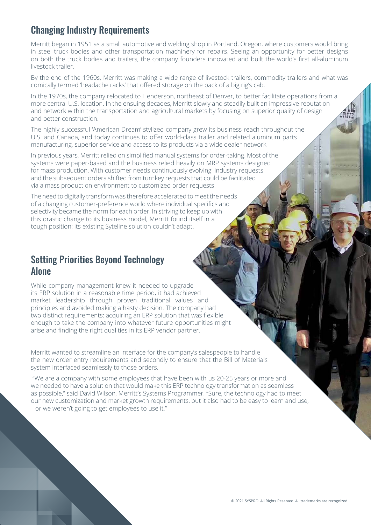## Changing Industry Requirements

Merritt began in 1951 as a small automotive and welding shop in Portland, Oregon, where customers would bring in steel truck bodies and other transportation machinery for repairs. Seeing an opportunity for better designs on both the truck bodies and trailers, the company founders innovated and built the world's first all-aluminum livestock trailer.

By the end of the 1960s, Merritt was making a wide range of livestock trailers, commodity trailers and what was comically termed 'headache racks' that offered storage on the back of a big rig's cab.

In the 1970s, the company relocated to Henderson, northeast of Denver, to better facilitate operations from a more central U.S. location. In the ensuing decades, Merritt slowly and steadily built an impressive reputation and network within the transportation and agricultural markets by focusing on superior quality of design and better construction.

The highly successful 'American Dream' stylized company grew its business reach throughout the U.S. and Canada, and today continues to offer world-class trailer and related aluminum parts manufacturing, superior service and access to its products via a wide dealer network.

In previous years, Merritt relied on simplified manual systems for order-taking. Most of the systems were paper-based and the business relied heavily on MRP systems designed for mass production. With customer needs continuously evolving, industry requests and the subsequent orders shifted from turnkey requests that could be facilitated via a mass production environment to customized order requests.

The need to digitally transform was therefore accelerated to meet the needs of a changing customer-preference world where individual specifics and selectivity became the norm for each order. In striving to keep up with this drastic change to its business model, Merritt found itself in a tough position: its existing Syteline solution couldn't adapt.

#### Setting Priorities Beyond Technology Alone

While company management knew it needed to upgrade its ERP solution in a reasonable time period, it had achieved market leadership through proven traditional values and principles and avoided making a hasty decision. The company had two distinct requirements: acquiring an ERP solution that was flexible enough to take the company into whatever future opportunities might arise and finding the right qualities in its ERP vendor partner.

Merritt wanted to streamline an interface for the company's salespeople to handle the new order entry requirements and secondly to ensure that the Bill of Materials system interfaced seamlessly to those orders.

 "We are a company with some employees that have been with us 20-25 years or more and we needed to have a solution that would make this ERP technology transformation as seamless as possible," said David Wilson, Merritt's Systems Programmer. "Sure, the technology had to meet our new customization and market growth requirements, but it also had to be easy to learn and use, or we weren't going to get employees to use it."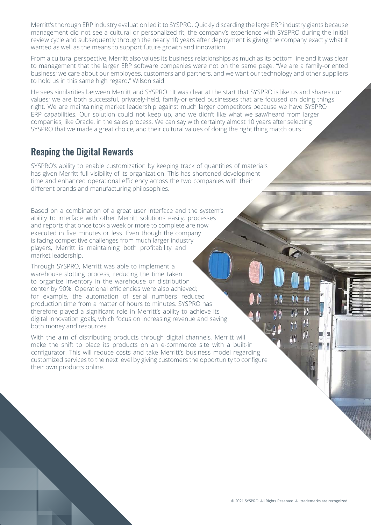Merritt's thorough ERP industry evaluation led it to SYSPRO. Quickly discarding the large ERP industry giants because management did not see a cultural or personalized fit, the company's experience with SYSPRO during the initial review cycle and subsequently through the nearly 10 years after deployment is giving the company exactly what it wanted as well as the means to support future growth and innovation.

From a cultural perspective, Merritt also values its business relationships as much as its bottom line and it was clear to management that the larger ERP software companies were not on the same page. "We are a family-oriented business; we care about our employees, customers and partners, and we want our technology and other suppliers to hold us in this same high regard," Wilson said.

He sees similarities between Merritt and SYSPRO: "It was clear at the start that SYSPRO is like us and shares our values; we are both successful, privately-held, family-oriented businesses that are focused on doing things right. We are maintaining market leadership against much larger competitors because we have SYSPRO ERP capabilities. Our solution could not keep up, and we didn't like what we saw/heard from larger companies, like Oracle, in the sales process. We can say with certainty almost 10 years after selecting SYSPRO that we made a great choice, and their cultural values of doing the right thing match ours."

### Reaping the Digital Rewards

SYSPRO's ability to enable customization by keeping track of quantities of materials has given Merritt full visibility of its organization. This has shortened development time and enhanced operational efficiency across the two companies with their different brands and manufacturing philosophies.

Based on a combination of a great user interface and the system's ability to interface with other Merritt solutions easily, processes and reports that once took a week or more to complete are now executed in five minutes or less. Even though the company is facing competitive challenges from much larger industry players, Merritt is maintaining both profitability and market leadership.

Through SYSPRO, Merritt was able to implement a warehouse slotting process, reducing the time taken to organize inventory in the warehouse or distribution center by 90%. Operational efficiencies were also achieved; for example, the automation of serial numbers reduced production time from a matter of hours to minutes. SYSPRO has therefore played a significant role in Merritt's ability to achieve its digital innovation goals, which focus on increasing revenue and saving both money and resources.

With the aim of distributing products through digital channels, Merritt will make the shift to place its products on an e-commerce site with a built-in configurator. This will reduce costs and take Merritt's business model regarding customized services to the next level by giving customers the opportunity to configure their own products online.